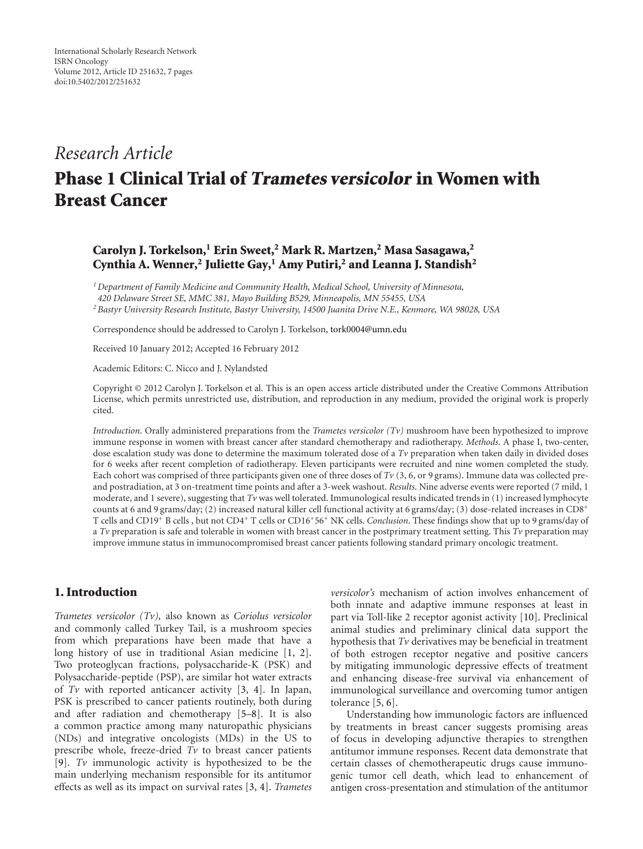# *Research Article*

# **Phase 1 Clinical Trial of Trametes versicolor in Women with Breast Cancer**

## **Carolyn J. Torkelson,1 Erin Sweet,2 Mark R. Martzen,2 Masa Sasagawa,2 Cynthia A. Wenner,2 Juliette Gay,1 Amy Putiri,2 and Leanna J. Standish2**

*1Department of Family Medicine and Community Health, Medical School, University of Minnesota, 420 Delaware Street SE, MMC 381, Mayo Building B529, Minneapolis, MN 55455, USA 2Bastyr University Research Institute, Bastyr University, 14500 Juanita Drive N.E., Kenmore, WA 98028, USA*

Correspondence should be addressed to Carolyn J. Torkelson, [tork0004@umn.edu](mailto:tork0004@umn.edu)

Received 10 January 2012; Accepted 16 February 2012

Academic Editors: C. Nicco and J. Nylandsted

Copyright © 2012 Carolyn J. Torkelson et al. This is an open access article distributed under the Creative Commons Attribution License, which permits unrestricted use, distribution, and reproduction in any medium, provided the original work is properly cited.

*Introduction*. Orally administered preparations from the *Trametes versicolor (Tv)* mushroom have been hypothesized to improve immune response in women with breast cancer after standard chemotherapy and radiotherapy. *Methods*. A phase I, two-center, dose escalation study was done to determine the maximum tolerated dose of a *Tv* preparation when taken daily in divided doses for 6 weeks after recent completion of radiotherapy. Eleven participants were recruited and nine women completed the study. Each cohort was comprised of three participants given one of three doses of  $Tv(3, 6, or 9$  grams). Immune data was collected preand postradiation, at 3 on-treatment time points and after a 3-week washout. *Results*. Nine adverse events were reported (7 mild, 1 moderate, and 1 severe), suggesting that *Tv* was well tolerated. Immunological results indicated trends in (1) increased lymphocyte counts at 6 and 9 grams/day; (2) increased natural killer cell functional activity at 6 grams/day; (3) dose-related increases in CD8+ T cells and CD19+ B cells , but not CD4+ T cells or CD16+56+ NK cells. *Conclusion*. These findings show that up to 9 grams/day of a *Tv* preparation is safe and tolerable in women with breast cancer in the postprimary treatment setting. This *Tv* preparation may improve immune status in immunocompromised breast cancer patients following standard primary oncologic treatment.

### **1. Introduction**

*Trametes versicolor (Tv),* also known as *Coriolus versicolor* and commonly called Turkey Tail, is a mushroom species from which preparations have been made that have a long history of use in traditional Asian medicine [\[1,](#page-6-1) [2\]](#page-6-2). Two proteoglycan fractions, polysaccharide-K (PSK) and Polysaccharide-peptide (PSP), are similar hot water extracts of *Tv* with reported anticancer activity [\[3,](#page-6-3) [4\]](#page-6-4). In Japan, PSK is prescribed to cancer patients routinely, both during and after radiation and chemotherapy [\[5](#page-6-5)[–8\]](#page-6-6). It is also a common practice among many naturopathic physicians (NDs) and integrative oncologists (MDs) in the US to prescribe whole, freeze-dried *Tv* to breast cancer patients [\[9](#page-6-7)]. *Tv* immunologic activity is hypothesized to be the main underlying mechanism responsible for its antitumor effects as well as its impact on survival rates [\[3](#page-6-3), [4](#page-6-4)]. *Trametes*

*versicolor's* mechanism of action involves enhancement of both innate and adaptive immune responses at least in part via Toll-like 2 receptor agonist activity [\[10](#page-6-8)]. Preclinical animal studies and preliminary clinical data support the hypothesis that *Tv* derivatives may be beneficial in treatment of both estrogen receptor negative and positive cancers by mitigating immunologic depressive effects of treatment and enhancing disease-free survival via enhancement of immunological surveillance and overcoming tumor antigen tolerance [\[5,](#page-6-5) [6](#page-6-9)].

Understanding how immunologic factors are influenced by treatments in breast cancer suggests promising areas of focus in developing adjunctive therapies to strengthen antitumor immune responses. Recent data demonstrate that certain classes of chemotherapeutic drugs cause immunogenic tumor cell death, which lead to enhancement of antigen cross-presentation and stimulation of the antitumor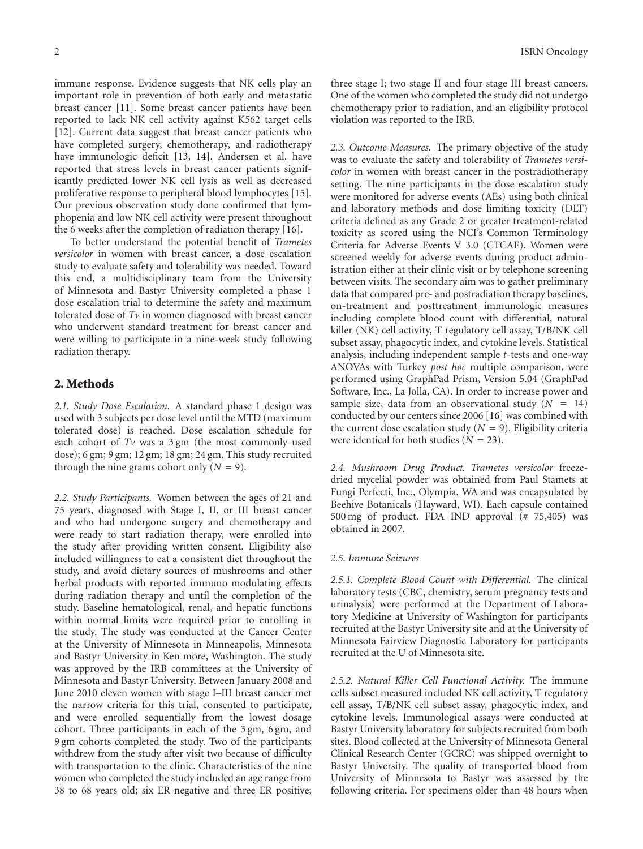immune response. Evidence suggests that NK cells play an important role in prevention of both early and metastatic breast cancer [\[11](#page-6-10)]. Some breast cancer patients have been reported to lack NK cell activity against K562 target cells [\[12\]](#page-6-11). Current data suggest that breast cancer patients who have completed surgery, chemotherapy, and radiotherapy have immunologic deficit [\[13,](#page-6-12) [14\]](#page-6-13). Andersen et al. have reported that stress levels in breast cancer patients significantly predicted lower NK cell lysis as well as decreased proliferative response to peripheral blood lymphocytes [\[15\]](#page-6-14). Our previous observation study done confirmed that lymphopenia and low NK cell activity were present throughout the 6 weeks after the completion of radiation therapy [\[16\]](#page-6-15).

To better understand the potential benefit of *Trametes versicolor* in women with breast cancer, a dose escalation study to evaluate safety and tolerability was needed. Toward this end, a multidisciplinary team from the University of Minnesota and Bastyr University completed a phase 1 dose escalation trial to determine the safety and maximum tolerated dose of *Tv* in women diagnosed with breast cancer who underwent standard treatment for breast cancer and were willing to participate in a nine-week study following radiation therapy.

#### **2. Methods**

*2.1. Study Dose Escalation.* A standard phase 1 design was used with 3 subjects per dose level until the MTD (maximum tolerated dose) is reached. Dose escalation schedule for each cohort of  $Tv$  was a  $3 \text{ gm}$  (the most commonly used dose); 6 gm; 9 gm; 12 gm; 18 gm; 24 gm. This study recruited through the nine grams cohort only  $(N = 9)$ .

*2.2. Study Participants.* Women between the ages of 21 and 75 years, diagnosed with Stage I, II, or III breast cancer and who had undergone surgery and chemotherapy and were ready to start radiation therapy, were enrolled into the study after providing written consent. Eligibility also included willingness to eat a consistent diet throughout the study, and avoid dietary sources of mushrooms and other herbal products with reported immuno modulating effects during radiation therapy and until the completion of the study. Baseline hematological, renal, and hepatic functions within normal limits were required prior to enrolling in the study. The study was conducted at the Cancer Center at the University of Minnesota in Minneapolis, Minnesota and Bastyr University in Ken more, Washington. The study was approved by the IRB committees at the University of Minnesota and Bastyr University. Between January 2008 and June 2010 eleven women with stage I–III breast cancer met the narrow criteria for this trial, consented to participate, and were enrolled sequentially from the lowest dosage cohort. Three participants in each of the 3 gm, 6 gm, and 9 gm cohorts completed the study. Two of the participants withdrew from the study after visit two because of difficulty with transportation to the clinic. Characteristics of the nine women who completed the study included an age range from 38 to 68 years old; six ER negative and three ER positive;

three stage I; two stage II and four stage III breast cancers. One of the women who completed the study did not undergo chemotherapy prior to radiation, and an eligibility protocol violation was reported to the IRB.

*2.3. Outcome Measures.* The primary objective of the study was to evaluate the safety and tolerability of *Trametes versicolor* in women with breast cancer in the postradiotherapy setting. The nine participants in the dose escalation study were monitored for adverse events (AEs) using both clinical and laboratory methods and dose limiting toxicity (DLT) criteria defined as any Grade 2 or greater treatment-related toxicity as scored using the NCI's Common Terminology Criteria for Adverse Events V 3.0 (CTCAE). Women were screened weekly for adverse events during product administration either at their clinic visit or by telephone screening between visits. The secondary aim was to gather preliminary data that compared pre- and postradiation therapy baselines, on-treatment and posttreatment immunologic measures including complete blood count with differential, natural killer (NK) cell activity, T regulatory cell assay, T/B/NK cell subset assay, phagocytic index, and cytokine levels. Statistical analysis, including independent sample *t*-tests and one-way ANOVAs with Turkey *post hoc* multiple comparison, were performed using GraphPad Prism, Version 5.04 (GraphPad Software, Inc., La Jolla, CA). In order to increase power and sample size, data from an observational study  $(N = 14)$ conducted by our centers since 2006 [\[16\]](#page-6-15) was combined with the current dose escalation study  $(N = 9)$ . Eligibility criteria were identical for both studies  $(N = 23)$ .

*2.4. Mushroom Drug Product. Trametes versicolor* freezedried mycelial powder was obtained from Paul Stamets at Fungi Perfecti, Inc., Olympia, WA and was encapsulated by Beehive Botanicals (Hayward, WI). Each capsule contained 500 mg of product. FDA IND approval (# 75,405) was obtained in 2007.

#### *2.5. Immune Seizures*

*2.5.1. Complete Blood Count with Differential.* The clinical laboratory tests (CBC, chemistry, serum pregnancy tests and urinalysis) were performed at the Department of Laboratory Medicine at University of Washington for participants recruited at the Bastyr University site and at the University of Minnesota Fairview Diagnostic Laboratory for participants recruited at the U of Minnesota site.

*2.5.2. Natural Killer Cell Functional Activity.* The immune cells subset measured included NK cell activity, T regulatory cell assay, T/B/NK cell subset assay, phagocytic index, and cytokine levels. Immunological assays were conducted at Bastyr University laboratory for subjects recruited from both sites. Blood collected at the University of Minnesota General Clinical Research Center (GCRC) was shipped overnight to Bastyr University. The quality of transported blood from University of Minnesota to Bastyr was assessed by the following criteria. For specimens older than 48 hours when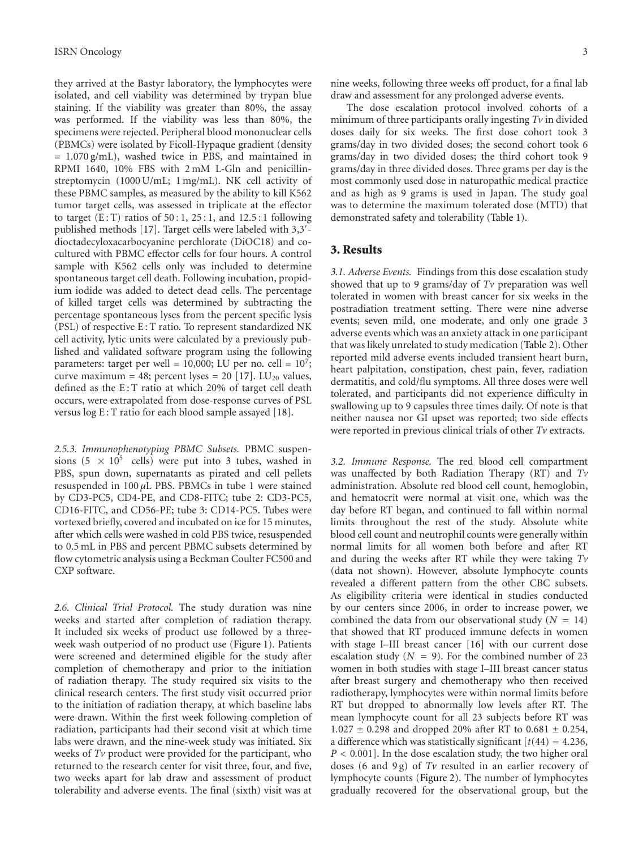they arrived at the Bastyr laboratory, the lymphocytes were isolated, and cell viability was determined by trypan blue staining. If the viability was greater than 80%, the assay was performed. If the viability was less than 80%, the specimens were rejected. Peripheral blood mononuclear cells (PBMCs) were isolated by Ficoll-Hypaque gradient (density = 1.070 g/mL), washed twice in PBS, and maintained in RPMI 1640, 10% FBS with 2 mM L-Gln and penicillinstreptomycin (1000 U/mL; 1 mg/mL). NK cell activity of these PBMC samples, as measured by the ability to kill K562 tumor target cells, was assessed in triplicate at the effector to target  $(E:T)$  ratios of 50:1, 25:1, and 12.5:1 following published methods [\[17](#page-6-16)]. Target cells were labeled with 3,3'dioctadecyloxacarbocyanine perchlorate (DiOC18) and cocultured with PBMC effector cells for four hours. A control sample with K562 cells only was included to determine spontaneous target cell death. Following incubation, propidium iodide was added to detect dead cells. The percentage of killed target cells was determined by subtracting the percentage spontaneous lyses from the percent specific lysis (PSL) of respective E : T ratio. To represent standardized NK cell activity, lytic units were calculated by a previously published and validated software program using the following parameters: target per well = 10,000; LU per no. cell =  $10<sup>7</sup>$ ; curve maximum = 48; percent lyses = 20 [\[17\]](#page-6-16). LU<sub>20</sub> values, defined as the E: T ratio at which 20% of target cell death occurs, were extrapolated from dose-response curves of PSL versus log E : T ratio for each blood sample assayed [\[18](#page-6-17)].

*2.5.3. Immunophenotyping PBMC Subsets.* PBMC suspensions (5  $\times$  10<sup>5</sup> cells) were put into 3 tubes, washed in PBS, spun down, supernatants as pirated and cell pellets resuspended in 100 *µ*L PBS. PBMCs in tube 1 were stained by CD3-PC5, CD4-PE, and CD8-FITC; tube 2: CD3-PC5, CD16-FITC, and CD56-PE; tube 3: CD14-PC5. Tubes were vortexed briefly, covered and incubated on ice for 15 minutes, after which cells were washed in cold PBS twice, resuspended to 0.5 mL in PBS and percent PBMC subsets determined by flow cytometric analysis using a Beckman Coulter FC500 and CXP software.

*2.6. Clinical Trial Protocol.* The study duration was nine weeks and started after completion of radiation therapy. It included six weeks of product use followed by a threeweek wash outperiod of no product use [\(Figure 1\)](#page-3-0). Patients were screened and determined eligible for the study after completion of chemotherapy and prior to the initiation of radiation therapy. The study required six visits to the clinical research centers. The first study visit occurred prior to the initiation of radiation therapy, at which baseline labs were drawn. Within the first week following completion of radiation, participants had their second visit at which time labs were drawn, and the nine-week study was initiated. Six weeks of *Tv* product were provided for the participant, who returned to the research center for visit three, four, and five, two weeks apart for lab draw and assessment of product tolerability and adverse events. The final (sixth) visit was at

nine weeks, following three weeks off product, for a final lab draw and assessment for any prolonged adverse events.

The dose escalation protocol involved cohorts of a minimum of three participants orally ingesting *Tv* in divided doses daily for six weeks. The first dose cohort took 3 grams/day in two divided doses; the second cohort took 6 grams/day in two divided doses; the third cohort took 9 grams/day in three divided doses. Three grams per day is the most commonly used dose in naturopathic medical practice and as high as 9 grams is used in Japan. The study goal was to determine the maximum tolerated dose (MTD) that demonstrated safety and tolerability [\(Table 1\)](#page-3-1).

#### **3. Results**

*3.1. Adverse Events.* Findings from this dose escalation study showed that up to 9 grams/day of *Tv* preparation was well tolerated in women with breast cancer for six weeks in the postradiation treatment setting. There were nine adverse events; seven mild, one moderate, and only one grade 3 adverse events which was an anxiety attack in one participant that was likely unrelated to study medication [\(Table 2\)](#page-4-0). Other reported mild adverse events included transient heart burn, heart palpitation, constipation, chest pain, fever, radiation dermatitis, and cold/flu symptoms. All three doses were well tolerated, and participants did not experience difficulty in swallowing up to 9 capsules three times daily. Of note is that neither nausea nor GI upset was reported; two side effects were reported in previous clinical trials of other *Tv* extracts.

*3.2. Immune Response.* The red blood cell compartment was unaffected by both Radiation Therapy (RT) and *Tv* administration. Absolute red blood cell count, hemoglobin, and hematocrit were normal at visit one, which was the day before RT began, and continued to fall within normal limits throughout the rest of the study. Absolute white blood cell count and neutrophil counts were generally within normal limits for all women both before and after RT and during the weeks after RT while they were taking *Tv* (data not shown). However, absolute lymphocyte counts revealed a different pattern from the other CBC subsets. As eligibility criteria were identical in studies conducted by our centers since 2006, in order to increase power, we combined the data from our observational study  $(N = 14)$ that showed that RT produced immune defects in women with stage I–III breast cancer [\[16\]](#page-6-15) with our current dose escalation study  $(N = 9)$ . For the combined number of 23 women in both studies with stage I–III breast cancer status after breast surgery and chemotherapy who then received radiotherapy, lymphocytes were within normal limits before RT but dropped to abnormally low levels after RT. The mean lymphocyte count for all 23 subjects before RT was <sup>1</sup>*.*<sup>027</sup> <sup>±</sup> <sup>0</sup>*.*298 and dropped 20% after RT to 0*.*<sup>681</sup> <sup>±</sup> <sup>0</sup>*.*254, a difference which was statistically significant  $[t(44) = 4.236,$ *P <* 0*.*001]. In the dose escalation study, the two higher oral doses (6 and 9g) of *Tv* resulted in an earlier recovery of lymphocyte counts (Figure 2). The number of lymphocytes gradually recovered for the observational group, but the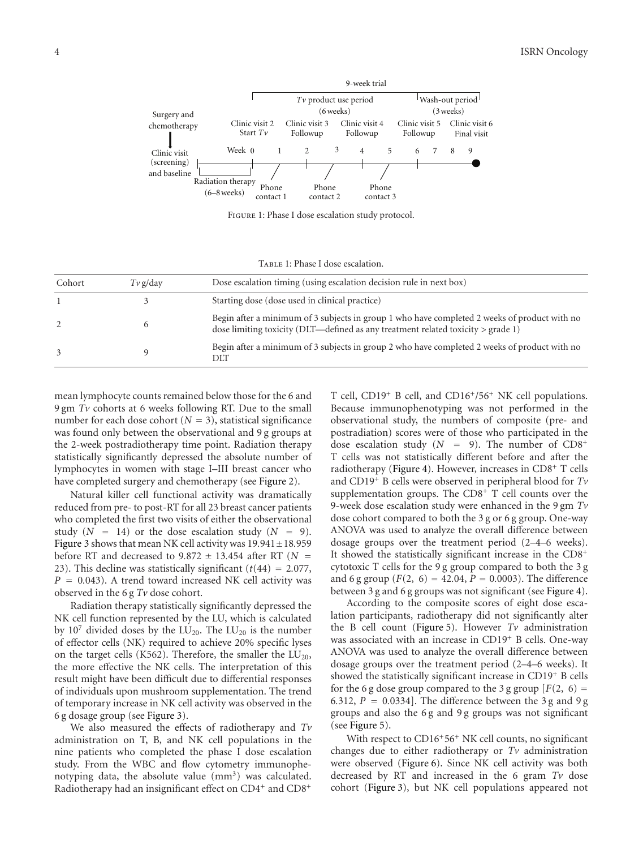

<span id="page-3-0"></span>Figure 1: Phase I dose escalation study protocol.

<span id="page-3-1"></span>TABLE 1: Phase I dose escalation.

| Cohort | $Tv$ g/day | Dose escalation timing (using escalation decision rule in next box)                                                                                                                |
|--------|------------|------------------------------------------------------------------------------------------------------------------------------------------------------------------------------------|
|        |            | Starting dose (dose used in clinical practice)                                                                                                                                     |
|        |            | Begin after a minimum of 3 subjects in group 1 who have completed 2 weeks of product with no<br>dose limiting toxicity (DLT—defined as any treatment related toxicity $>$ grade 1) |
| 3      |            | Begin after a minimum of 3 subjects in group 2 who have completed 2 weeks of product with no<br>DIT                                                                                |

mean lymphocyte counts remained below those for the 6 and 9 gm *Tv* cohorts at 6 weeks following RT. Due to the small number for each dose cohort  $(N = 3)$ , statistical significance was found only between the observational and 9 g groups at the 2-week postradiotherapy time point. Radiation therapy statistically significantly depressed the absolute number of lymphocytes in women with stage I–III breast cancer who have completed surgery and chemotherapy (see Figure 2).

Natural killer cell functional activity was dramatically reduced from pre- to post-RT for all 23 breast cancer patients who completed the first two visits of either the observational study  $(N = 14)$  or the dose escalation study  $(N = 9)$ . Figure 3 shows that mean NK cell activity was 19*.*941±18*.*<sup>959</sup> before RT and decreased to  $9.872 \pm 13.454$  after RT ( $N =$ 23). This decline was statistically significant  $(t(44) = 2.077$ , *<sup>P</sup>* <sup>=</sup> <sup>0</sup>*.*043). A trend toward increased NK cell activity was observed in the 6 g *Tv* dose cohort.

Radiation therapy statistically significantly depressed the NK cell function represented by the LU, which is calculated by 10<sup>7</sup> divided doses by the  $LU_{20}$ . The  $LU_{20}$  is the number of effector cells (NK) required to achieve 20% specific lyses on the target cells (K562). Therefore, the smaller the  $LU_{20}$ , the more effective the NK cells. The interpretation of this result might have been difficult due to differential responses of individuals upon mushroom supplementation. The trend of temporary increase in NK cell activity was observed in the 6 g dosage group (see Figure 3).

We also measured the effects of radiotherapy and *Tv* administration on T, B, and NK cell populations in the nine patients who completed the phase I dose escalation study. From the WBC and flow cytometry immunophenotyping data, the absolute value  $(mm<sup>3</sup>)$  was calculated. Radiotherapy had an insignificant effect on CD4<sup>+</sup> and CD8+

T cell, CD19+ B cell, and CD16+/56+ NK cell populations. Because immunophenotyping was not performed in the observational study, the numbers of composite (pre- and postradiation) scores were of those who participated in the dose escalation study  $(N = 9)$ . The number of CD8<sup>+</sup> T cells was not statistically different before and after the radiotherapy (Figure 4). However, increases in  $CD8<sup>+</sup>$  T cells and CD19+ B cells were observed in peripheral blood for *Tv* supplementation groups. The  $CD8<sup>+</sup>$  T cell counts over the 9-week dose escalation study were enhanced in the 9 gm *Tv* dose cohort compared to both the 3 g or 6 g group. One-way ANOVA was used to analyze the overall difference between dosage groups over the treatment period (2–4–6 weeks). It showed the statistically significant increase in the CD8<sup>+</sup> cytotoxic T cells for the 9 g group compared to both the 3 g and 6 g group  $(F(2, 6) = 42.04, P = 0.0003)$ . The difference between 3 g and 6 g groups was not significant (see Figure 4).

According to the composite scores of eight dose escalation participants, radiotherapy did not significantly alter the B cell count (Figure 5). However *Tv* administration was associated with an increase in CD19+ B cells. One-way ANOVA was used to analyze the overall difference between dosage groups over the treatment period (2–4–6 weeks). It showed the statistically significant increase in CD19<sup>+</sup> B cells for the 6 g dose group compared to the 3 g group  $[F(2, 6)]$ 6.312,  $P = 0.0334$ . The difference between the 3 g and 9 g groups and also the 6 g and 9 g groups was not significant (see Figure 5).

With respect to CD16<sup>+</sup>56<sup>+</sup> NK cell counts, no significant changes due to either radiotherapy or *Tv* administration were observed (Figure 6). Since NK cell activity was both decreased by RT and increased in the 6 gram *Tv* dose cohort (Figure 3), but NK cell populations appeared not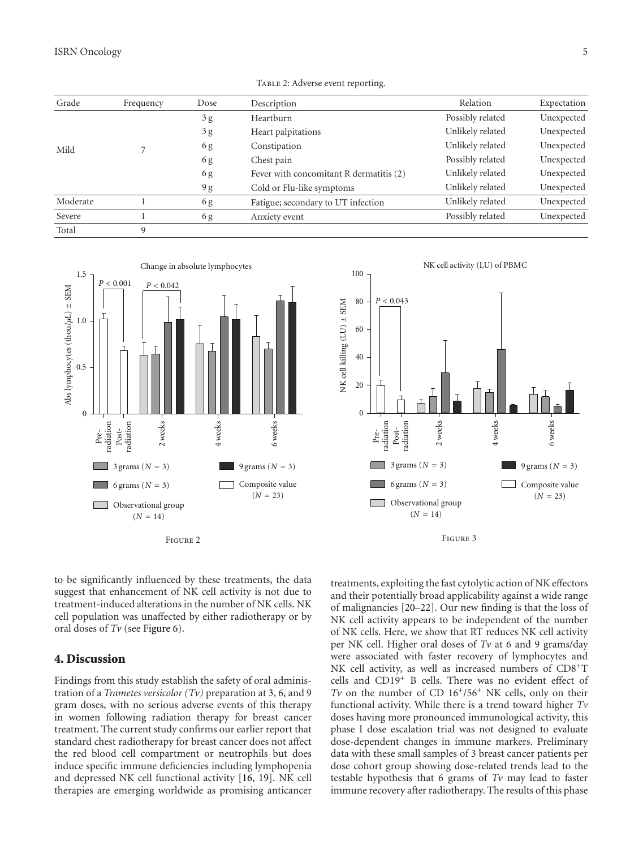| Grade    | Frequency | Dose | Description                             | Relation         | Expectation |
|----------|-----------|------|-----------------------------------------|------------------|-------------|
| Mild     |           | 3g   | Heartburn                               | Possibly related | Unexpected  |
|          |           | 3g   | Heart palpitations                      | Unlikely related | Unexpected  |
|          |           | 6g   | Constipation                            | Unlikely related | Unexpected  |
|          |           | 6g   | Chest pain                              | Possibly related | Unexpected  |
|          |           | 6g   | Fever with concomitant R dermatitis (2) | Unlikely related | Unexpected  |
|          |           | 9g   | Cold or Flu-like symptoms               | Unlikely related | Unexpected  |
| Moderate |           | 6g   | Fatigue; secondary to UT infection      | Unlikely related | Unexpected  |
| Severe   |           | 6g   | Anxiety event                           | Possibly related | Unexpected  |
| Total    | 9         |      |                                         |                  |             |

<span id="page-4-0"></span>TABLE 2: Adverse event reporting.



Figure 2

100  $P < 0.043$ 80 NK cell killing  $(LU) \pm$  SEM NK cell killing  $(LU) \pm SEM$ 60 40 20 0 radiation 2 weeks 4 weeks 6 weeks Post-radiation Pre- $3$  grams ( $N = 3$ ) **The Co** 9 grams (*<sup>N</sup>* <sup>=</sup> 3)  $\Box$  6 grams ( $N = 3$ ) Composite value  $(N = 23)$ Observational group

NK cell activity (LU) of PBMC



 $(N = 14)$ 

to be significantly influenced by these treatments, the data suggest that enhancement of NK cell activity is not due to treatment-induced alterations in the number of NK cells. NK cell population was unaffected by either radiotherapy or by oral doses of *Tv* (see Figure 6).

#### **4. Discussion**

Findings from this study establish the safety of oral administration of a *Trametes versicolor (Tv)* preparation at 3, 6, and 9 gram doses, with no serious adverse events of this therapy in women following radiation therapy for breast cancer treatment. The current study confirms our earlier report that standard chest radiotherapy for breast cancer does not affect the red blood cell compartment or neutrophils but does induce specific immune deficiencies including lymphopenia and depressed NK cell functional activity [\[16,](#page-6-15) [19\]](#page-6-18). NK cell therapies are emerging worldwide as promising anticancer treatments, exploiting the fast cytolytic action of NK effectors and their potentially broad applicability against a wide range of malignancies [\[20](#page-6-19)[–22](#page-6-20)]. Our new finding is that the loss of NK cell activity appears to be independent of the number of NK cells. Here, we show that RT reduces NK cell activity per NK cell. Higher oral doses of *Tv* at 6 and 9 grams/day were associated with faster recovery of lymphocytes and NK cell activity, as well as increased numbers of CD8+T cells and CD19+ B cells. There was no evident effect of *Tv* on the number of CD  $16^{+}/56^{+}$  NK cells, only on their functional activity. While there is a trend toward higher *Tv* doses having more pronounced immunological activity, this phase I dose escalation trial was not designed to evaluate dose-dependent changes in immune markers. Preliminary data with these small samples of 3 breast cancer patients per dose cohort group showing dose-related trends lead to the testable hypothesis that 6 grams of *Tv* may lead to faster immune recovery after radiotherapy. The results of this phase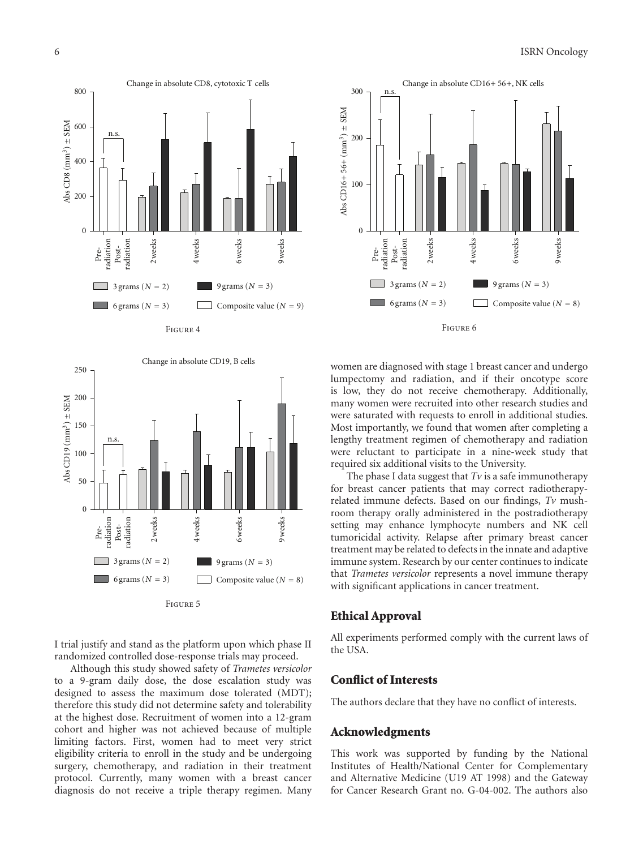

Figure 4



I trial justify and stand as the platform upon which phase II randomized controlled dose-response trials may proceed.

Although this study showed safety of *Trametes versicolor* to a 9-gram daily dose, the dose escalation study was designed to assess the maximum dose tolerated (MDT); therefore this study did not determine safety and tolerability at the highest dose. Recruitment of women into a 12-gram cohort and higher was not achieved because of multiple limiting factors. First, women had to meet very strict eligibility criteria to enroll in the study and be undergoing surgery, chemotherapy, and radiation in their treatment protocol. Currently, many women with a breast cancer diagnosis do not receive a triple therapy regimen. Many



women are diagnosed with stage 1 breast cancer and undergo lumpectomy and radiation, and if their oncotype score is low, they do not receive chemotherapy. Additionally, many women were recruited into other research studies and were saturated with requests to enroll in additional studies. Most importantly, we found that women after completing a lengthy treatment regimen of chemotherapy and radiation were reluctant to participate in a nine-week study that required six additional visits to the University.

The phase I data suggest that  $Tv$  is a safe immunotherapy for breast cancer patients that may correct radiotherapyrelated immune defects. Based on our findings, *Tv* mushroom therapy orally administered in the postradiotherapy setting may enhance lymphocyte numbers and NK cell tumoricidal activity. Relapse after primary breast cancer treatment may be related to defects in the innate and adaptive immune system. Research by our center continues to indicate that *Trametes versicolor* represents a novel immune therapy with significant applications in cancer treatment.

#### **Ethical Approval**

All experiments performed comply with the current laws of the USA.

#### **Conflict of Interests**

The authors declare that they have no conflict of interests.

#### **Acknowledgments**

This work was supported by funding by the National Institutes of Health/National Center for Complementary and Alternative Medicine (U19 AT 1998) and the Gateway for Cancer Research Grant no. G-04-002. The authors also